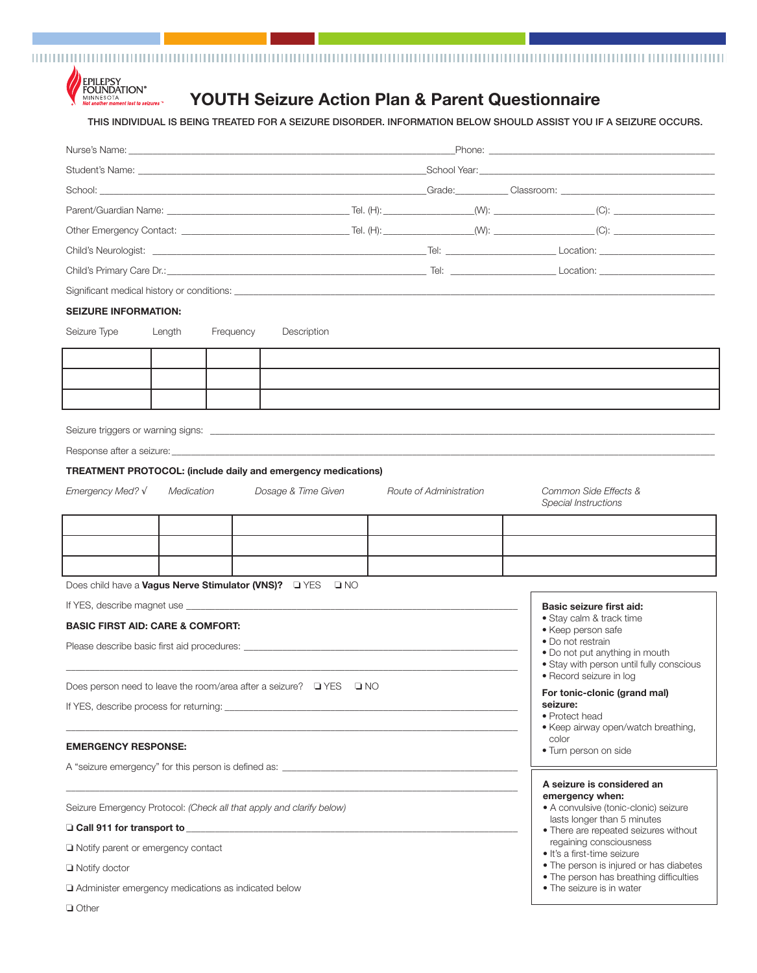<u>TELEVISIOONI EESTI EESTI EESTI EESTI EESTI EESTI EESTI EESTI EESTI EESTI EESTI EESTI EESTI EESTI EESTI EESTI EESTI EESTI EESTI EESTI EESTI EESTI EESTI EESTI EESTI EESTI EESTI EESTI EESTI EESTI EESTI EESTI EESTI EESTI EEST</u>



## **YOUTH Seizure Action Plan & Parent Questionnaire**

THIS INDIVIDUAL IS BEING TREATED FOR A SEIZURE DISORDER. INFORMATION BELOW SHOULD ASSIST YOU IF A SEIZURE OCCURS.

| <b>SEIZURE INFORMATION:</b>                 |            |                                                     |                                                                                                                                                                                                                                |  |                         |  |                                                                                    |
|---------------------------------------------|------------|-----------------------------------------------------|--------------------------------------------------------------------------------------------------------------------------------------------------------------------------------------------------------------------------------|--|-------------------------|--|------------------------------------------------------------------------------------|
| Seizure Type                                | Length     | Frequency                                           | Description                                                                                                                                                                                                                    |  |                         |  |                                                                                    |
|                                             |            |                                                     |                                                                                                                                                                                                                                |  |                         |  |                                                                                    |
|                                             |            |                                                     |                                                                                                                                                                                                                                |  |                         |  |                                                                                    |
|                                             |            |                                                     |                                                                                                                                                                                                                                |  |                         |  |                                                                                    |
|                                             |            |                                                     |                                                                                                                                                                                                                                |  |                         |  |                                                                                    |
|                                             |            |                                                     |                                                                                                                                                                                                                                |  |                         |  |                                                                                    |
|                                             |            |                                                     |                                                                                                                                                                                                                                |  |                         |  |                                                                                    |
|                                             |            |                                                     | <b>TREATMENT PROTOCOL:</b> (include daily and emergency medications)                                                                                                                                                           |  |                         |  |                                                                                    |
| Emergency Med? $\sqrt{}$                    | Medication |                                                     | Dosage & Time Given                                                                                                                                                                                                            |  | Route of Administration |  | Common Side Effects &                                                              |
|                                             |            |                                                     |                                                                                                                                                                                                                                |  |                         |  | Special Instructions                                                               |
|                                             |            |                                                     |                                                                                                                                                                                                                                |  |                         |  |                                                                                    |
|                                             |            |                                                     |                                                                                                                                                                                                                                |  |                         |  |                                                                                    |
|                                             |            |                                                     |                                                                                                                                                                                                                                |  |                         |  |                                                                                    |
|                                             |            |                                                     | Does child have a Vagus Nerve Stimulator (VNS)? DYES DINO                                                                                                                                                                      |  |                         |  |                                                                                    |
|                                             |            |                                                     |                                                                                                                                                                                                                                |  |                         |  | Basic seizure first aid:                                                           |
| <b>BASIC FIRST AID: CARE &amp; COMFORT:</b> |            |                                                     |                                                                                                                                                                                                                                |  |                         |  | · Stay calm & track time<br>• Keep person safe                                     |
|                                             |            |                                                     |                                                                                                                                                                                                                                |  |                         |  | • Do not restrain                                                                  |
|                                             |            |                                                     |                                                                                                                                                                                                                                |  |                         |  | • Do not put anything in mouth<br>• Stay with person until fully conscious         |
|                                             |            |                                                     | Does person need to leave the room/area after a seizure? $\Box$ YES $\Box$ NO                                                                                                                                                  |  |                         |  | • Record seizure in log                                                            |
|                                             |            |                                                     | If YES, describe process for returning: example of the state of the state of the state of the state of the state of the state of the state of the state of the state of the state of the state of the state of the state of th |  |                         |  | For tonic-clonic (grand mal)<br>seizure:                                           |
|                                             |            |                                                     |                                                                                                                                                                                                                                |  |                         |  | • Protect head                                                                     |
| <b>EMERGENCY RESPONSE:</b>                  |            |                                                     |                                                                                                                                                                                                                                |  |                         |  | • Keep airway open/watch breathing,<br>color                                       |
|                                             |            |                                                     |                                                                                                                                                                                                                                |  |                         |  | · Turn person on side                                                              |
|                                             |            |                                                     |                                                                                                                                                                                                                                |  |                         |  | A seizure is considered an                                                         |
|                                             |            |                                                     |                                                                                                                                                                                                                                |  |                         |  | emergency when:                                                                    |
|                                             |            |                                                     | Seizure Emergency Protocol: (Check all that apply and clarify below)                                                                                                                                                           |  |                         |  | • A convulsive (tonic-clonic) seizure<br>lasts longer than 5 minutes               |
|                                             |            |                                                     |                                                                                                                                                                                                                                |  |                         |  | • There are repeated seizures without<br>regaining consciousness                   |
| Notify parent or emergency contact          |            |                                                     |                                                                                                                                                                                                                                |  |                         |  | • It's a first-time seizure                                                        |
| $\Box$ Notify doctor                        |            |                                                     |                                                                                                                                                                                                                                |  |                         |  | • The person is injured or has diabetes<br>• The person has breathing difficulties |
|                                             |            | Administer emergency medications as indicated below |                                                                                                                                                                                                                                |  |                         |  | • The seizure is in water                                                          |
| □ Other                                     |            |                                                     |                                                                                                                                                                                                                                |  |                         |  |                                                                                    |